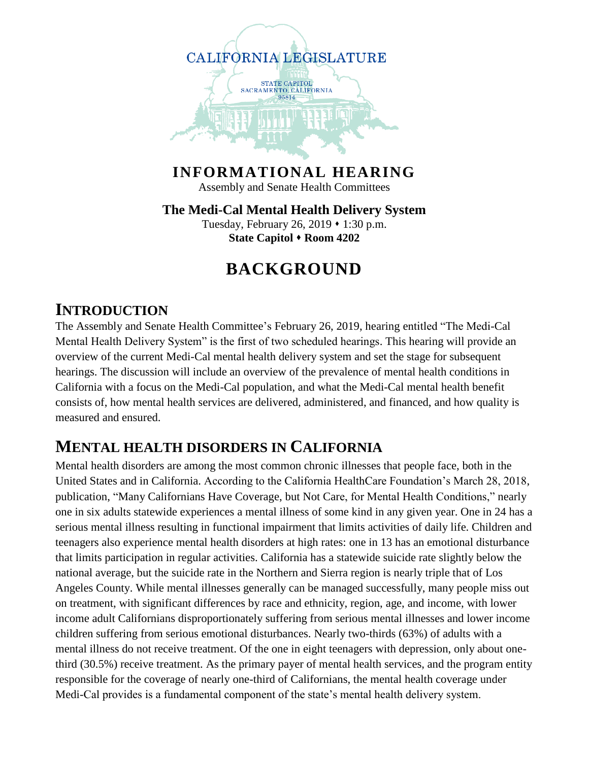

**INFORMATIONAL HEARING** Assembly and Senate Health Committees

**The Medi-Cal Mental Health Delivery System** Tuesday, February 26, 2019 • 1:30 p.m. **State Capitol • Room 4202** 

## **BACKGROUND**

#### **INTRODUCTION**

The Assembly and Senate Health Committee's February 26, 2019, hearing entitled "The Medi-Cal Mental Health Delivery System" is the first of two scheduled hearings. This hearing will provide an overview of the current Medi-Cal mental health delivery system and set the stage for subsequent hearings. The discussion will include an overview of the prevalence of mental health conditions in California with a focus on the Medi-Cal population, and what the Medi-Cal mental health benefit consists of, how mental health services are delivered, administered, and financed, and how quality is measured and ensured.

### **MENTAL HEALTH DISORDERS IN CALIFORNIA**

Mental health disorders are among the most common chronic illnesses that people face, both in the United States and in California. According to the California HealthCare Foundation's March 28, 2018, publication, "Many Californians Have Coverage, but Not Care, for Mental Health Conditions," nearly one in six adults statewide experiences a mental illness of some kind in any given year. One in 24 has a serious mental illness resulting in functional impairment that limits activities of daily life. Children and teenagers also experience mental health disorders at high rates: one in 13 has an emotional disturbance that limits participation in regular activities. California has a statewide suicide rate slightly below the national average, but the suicide rate in the Northern and Sierra region is nearly triple that of Los Angeles County. While mental illnesses generally can be managed successfully, many people miss out on treatment, with significant differences by race and ethnicity, region, age, and income, with lower income adult Californians disproportionately suffering from serious mental illnesses and lower income children suffering from serious emotional disturbances. Nearly two-thirds (63%) of adults with a mental illness do not receive treatment. Of the one in eight teenagers with depression, only about onethird (30.5%) receive treatment. As the primary payer of mental health services, and the program entity responsible for the coverage of nearly one-third of Californians, the mental health coverage under Medi-Cal provides is a fundamental component of the state's mental health delivery system.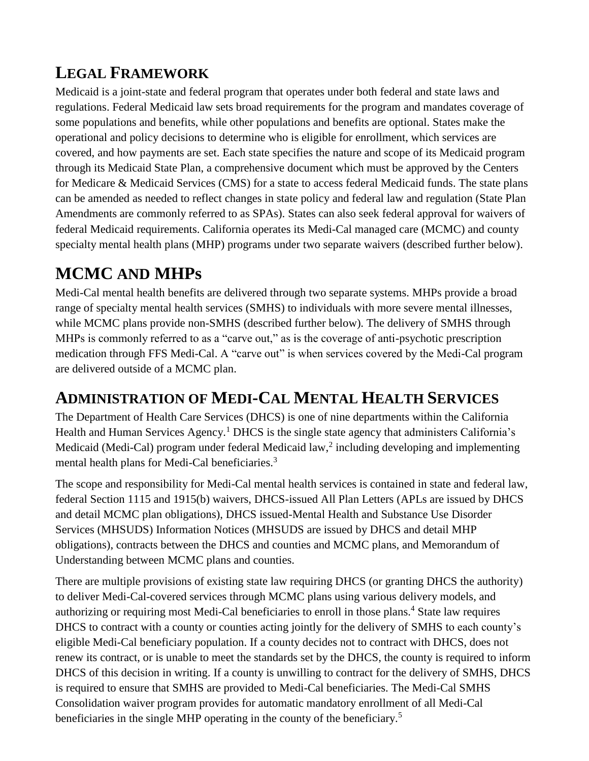## **LEGAL FRAMEWORK**

Medicaid is a joint-state and federal program that operates under both federal and state laws and regulations. Federal Medicaid law sets broad requirements for the program and mandates coverage of some populations and benefits, while other populations and benefits are optional. States make the operational and policy decisions to determine who is eligible for enrollment, which services are covered, and how payments are set. Each state specifies the nature and scope of its Medicaid program through its Medicaid State Plan, a comprehensive document which must be approved by the Centers for Medicare & Medicaid Services (CMS) for a state to access federal Medicaid funds. The state plans can be amended as needed to reflect changes in state policy and federal law and regulation (State Plan Amendments are commonly referred to as SPAs). States can also seek federal approval for waivers of federal Medicaid requirements. California operates its Medi-Cal managed care (MCMC) and county specialty mental health plans (MHP) programs under two separate waivers (described further below).

## **MCMC AND MHPs**

Medi-Cal mental health benefits are delivered through two separate systems. MHPs provide a broad range of specialty mental health services (SMHS) to individuals with more severe mental illnesses, while MCMC plans provide non-SMHS (described further below). The delivery of SMHS through MHPs is commonly referred to as a "carve out," as is the coverage of anti-psychotic prescription medication through FFS Medi-Cal. A "carve out" is when services covered by the Medi-Cal program are delivered outside of a MCMC plan.

### **ADMINISTRATION OF MEDI-CAL MENTAL HEALTH SERVICES**

The Department of Health Care Services (DHCS) is one of nine departments within the California Health and Human Services Agency.<sup>1</sup> DHCS is the single state agency that administers California's Medicaid (Medi-Cal) program under federal Medicaid law,<sup>2</sup> including developing and implementing mental health plans for Medi-Cal beneficiaries.<sup>3</sup>

The scope and responsibility for Medi-Cal mental health services is contained in state and federal law, federal Section 1115 and 1915(b) waivers, DHCS-issued All Plan Letters (APLs are issued by DHCS and detail MCMC plan obligations), DHCS issued-Mental Health and Substance Use Disorder Services (MHSUDS) Information Notices (MHSUDS are issued by DHCS and detail MHP obligations), contracts between the DHCS and counties and MCMC plans, and Memorandum of Understanding between MCMC plans and counties.

There are multiple provisions of existing state law requiring DHCS (or granting DHCS the authority) to deliver Medi-Cal-covered services through MCMC plans using various delivery models, and authorizing or requiring most Medi-Cal beneficiaries to enroll in those plans.<sup>4</sup> State law requires DHCS to contract with a county or counties acting jointly for the delivery of SMHS to each county's eligible Medi-Cal beneficiary population. If a county decides not to contract with DHCS, does not renew its contract, or is unable to meet the standards set by the DHCS, the county is required to inform DHCS of this decision in writing. If a county is unwilling to contract for the delivery of SMHS, DHCS is required to ensure that SMHS are provided to Medi-Cal beneficiaries. The Medi-Cal SMHS Consolidation waiver program provides for automatic mandatory enrollment of all Medi-Cal beneficiaries in the single MHP operating in the county of the beneficiary.<sup>5</sup>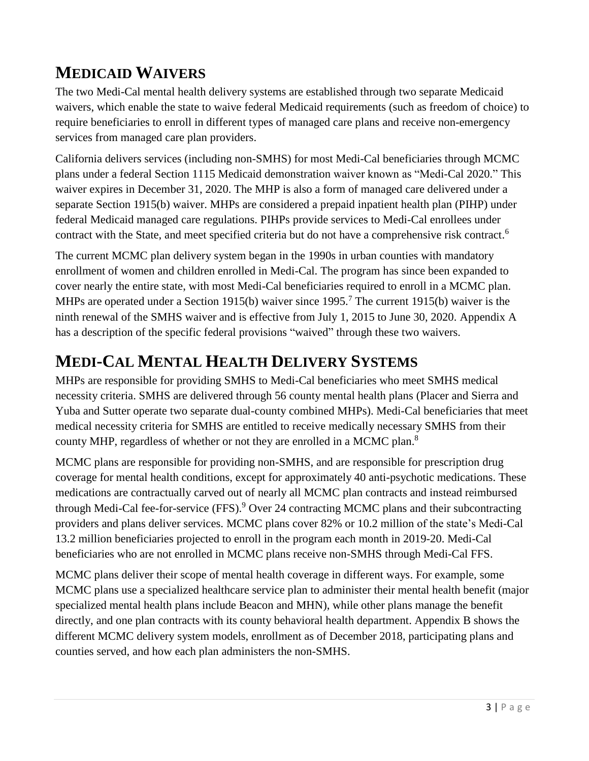### **MEDICAID WAIVERS**

The two Medi-Cal mental health delivery systems are established through two separate Medicaid waivers, which enable the state to waive federal Medicaid requirements (such as freedom of choice) to require beneficiaries to enroll in different types of managed care plans and receive non-emergency services from managed care plan providers.

California delivers services (including non-SMHS) for most Medi-Cal beneficiaries through MCMC plans under a federal Section 1115 Medicaid demonstration waiver known as "Medi-Cal 2020." This waiver expires in December 31, 2020. The MHP is also a form of managed care delivered under a separate Section 1915(b) waiver. MHPs are considered a prepaid inpatient health plan (PIHP) under federal Medicaid managed care regulations. PIHPs provide services to Medi-Cal enrollees under contract with the State, and meet specified criteria but do not have a comprehensive risk contract. 6

The current MCMC plan delivery system began in the 1990s in urban counties with mandatory enrollment of women and children enrolled in Medi-Cal. The program has since been expanded to cover nearly the entire state, with most Medi-Cal beneficiaries required to enroll in a MCMC plan. MHPs are operated under a Section 1915(b) waiver since 1995.<sup>7</sup> The current 1915(b) waiver is the ninth renewal of the SMHS waiver and is effective from July 1, 2015 to June 30, 2020. Appendix A has a description of the specific federal provisions "waived" through these two waivers.

### **MEDI-CAL MENTAL HEALTH DELIVERY SYSTEMS**

MHPs are responsible for providing SMHS to Medi-Cal beneficiaries who meet SMHS medical necessity criteria. SMHS are delivered through 56 county mental health plans (Placer and Sierra and Yuba and Sutter operate two separate dual-county combined MHPs). Medi-Cal beneficiaries that meet medical necessity criteria for SMHS are entitled to receive medically necessary SMHS from their county MHP, regardless of whether or not they are enrolled in a MCMC plan.<sup>8</sup>

MCMC plans are responsible for providing non-SMHS, and are responsible for prescription drug coverage for mental health conditions, except for approximately 40 anti-psychotic medications. These medications are contractually carved out of nearly all MCMC plan contracts and instead reimbursed through Medi-Cal fee-for-service (FFS). <sup>9</sup> Over 24 contracting MCMC plans and their subcontracting providers and plans deliver services. MCMC plans cover 82% or 10.2 million of the state's Medi-Cal 13.2 million beneficiaries projected to enroll in the program each month in 2019-20. Medi-Cal beneficiaries who are not enrolled in MCMC plans receive non-SMHS through Medi-Cal FFS.

MCMC plans deliver their scope of mental health coverage in different ways. For example, some MCMC plans use a specialized healthcare service plan to administer their mental health benefit (major specialized mental health plans include Beacon and MHN), while other plans manage the benefit directly, and one plan contracts with its county behavioral health department. Appendix B shows the different MCMC delivery system models, enrollment as of December 2018, participating plans and counties served, and how each plan administers the non-SMHS.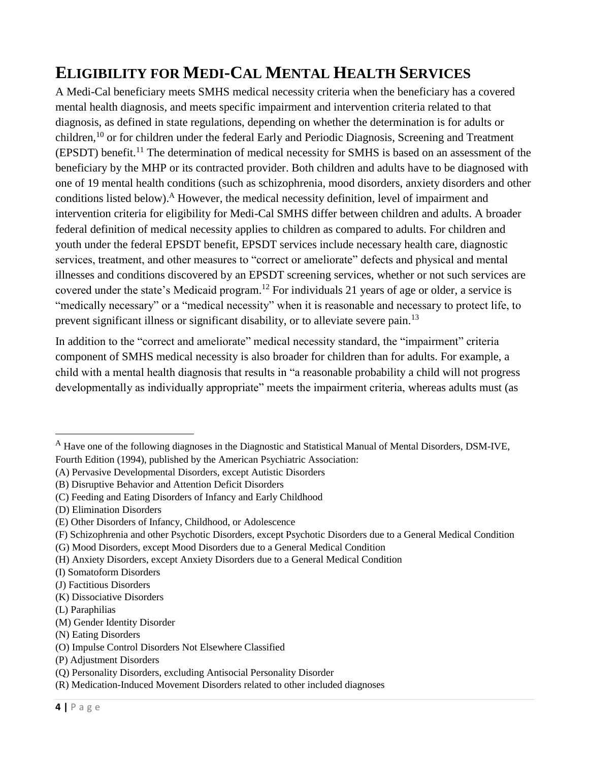## **ELIGIBILITY FOR MEDI-CAL MENTAL HEALTH SERVICES**

A Medi-Cal beneficiary meets SMHS medical necessity criteria when the beneficiary has a covered mental health diagnosis, and meets specific impairment and intervention criteria related to that diagnosis, as defined in state regulations, depending on whether the determination is for adults or children,<sup>10</sup> or for children under the federal Early and Periodic Diagnosis, Screening and Treatment (EPSDT) benefit.<sup>11</sup> The determination of medical necessity for SMHS is based on an assessment of the beneficiary by the MHP or its contracted provider. Both children and adults have to be diagnosed with one of 19 mental health conditions (such as schizophrenia, mood disorders, anxiety disorders and other conditions listed below). <sup>A</sup> However, the medical necessity definition, level of impairment and intervention criteria for eligibility for Medi-Cal SMHS differ between children and adults. A broader federal definition of medical necessity applies to children as compared to adults. For children and youth under the federal EPSDT benefit, EPSDT services include necessary health care, diagnostic services, treatment, and other measures to "correct or ameliorate" defects and physical and mental illnesses and conditions discovered by an EPSDT screening services, whether or not such services are covered under the state's Medicaid program.<sup>12</sup> For individuals 21 years of age or older, a service is "medically necessary" or a "medical necessity" when it is reasonable and necessary to protect life, to prevent significant illness or significant disability, or to alleviate severe pain.<sup>13</sup>

In addition to the "correct and ameliorate" medical necessity standard, the "impairment" criteria component of SMHS medical necessity is also broader for children than for adults. For example, a child with a mental health diagnosis that results in "a reasonable probability a child will not progress developmentally as individually appropriate" meets the impairment criteria, whereas adults must (as

(G) Mood Disorders, except Mood Disorders due to a General Medical Condition

 $\overline{a}$ 

<sup>&</sup>lt;sup>A</sup> Have one of the following diagnoses in the Diagnostic and Statistical Manual of Mental Disorders, DSM-IVE, Fourth Edition (1994), published by the American Psychiatric Association:

<sup>(</sup>A) Pervasive Developmental Disorders, except Autistic Disorders

<sup>(</sup>B) Disruptive Behavior and Attention Deficit Disorders

<sup>(</sup>C) Feeding and Eating Disorders of Infancy and Early Childhood

<sup>(</sup>D) Elimination Disorders

<sup>(</sup>E) Other Disorders of Infancy, Childhood, or Adolescence

<sup>(</sup>F) Schizophrenia and other Psychotic Disorders, except Psychotic Disorders due to a General Medical Condition

<sup>(</sup>H) Anxiety Disorders, except Anxiety Disorders due to a General Medical Condition

<sup>(</sup>I) Somatoform Disorders

<sup>(</sup>J) Factitious Disorders

<sup>(</sup>K) Dissociative Disorders

<sup>(</sup>L) Paraphilias

<sup>(</sup>M) Gender Identity Disorder

<sup>(</sup>N) Eating Disorders

<sup>(</sup>O) Impulse Control Disorders Not Elsewhere Classified

<sup>(</sup>P) Adjustment Disorders

<sup>(</sup>Q) Personality Disorders, excluding Antisocial Personality Disorder

<sup>(</sup>R) Medication-Induced Movement Disorders related to other included diagnoses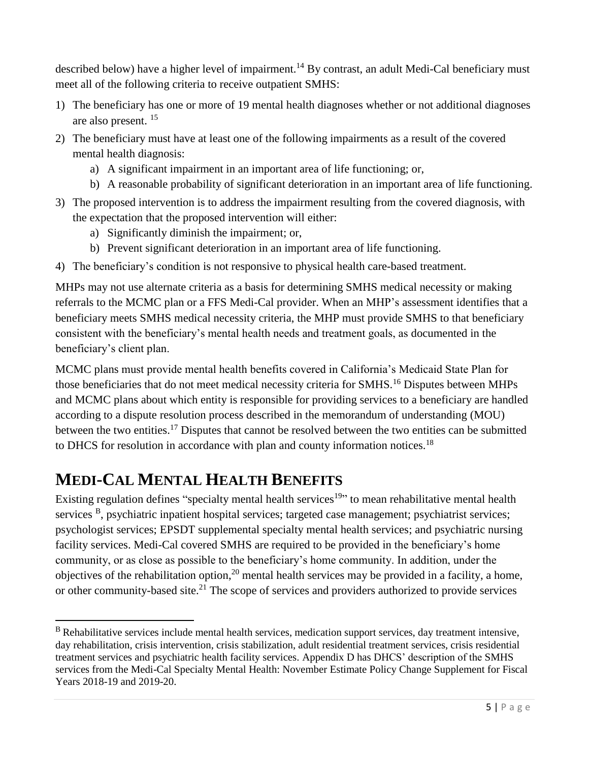described below) have a higher level of impairment.<sup>14</sup> By contrast, an adult Medi-Cal beneficiary must meet all of the following criteria to receive outpatient SMHS:

- 1) The beneficiary has one or more of 19 mental health diagnoses whether or not additional diagnoses are also present. <sup>15</sup>
- 2) The beneficiary must have at least one of the following impairments as a result of the covered mental health diagnosis:
	- a) A significant impairment in an important area of life functioning; or,
	- b) A reasonable probability of significant deterioration in an important area of life functioning.
- 3) The proposed intervention is to address the impairment resulting from the covered diagnosis, with the expectation that the proposed intervention will either:
	- a) Significantly diminish the impairment; or,
	- b) Prevent significant deterioration in an important area of life functioning.
- 4) The beneficiary's condition is not responsive to physical health care-based treatment.

MHPs may not use alternate criteria as a basis for determining SMHS medical necessity or making referrals to the MCMC plan or a FFS Medi-Cal provider. When an MHP's assessment identifies that a beneficiary meets SMHS medical necessity criteria, the MHP must provide SMHS to that beneficiary consistent with the beneficiary's mental health needs and treatment goals, as documented in the beneficiary's client plan.

MCMC plans must provide mental health benefits covered in California's Medicaid State Plan for those beneficiaries that do not meet medical necessity criteria for SMHS.<sup>16</sup> Disputes between MHPs and MCMC plans about which entity is responsible for providing services to a beneficiary are handled according to a dispute resolution process described in the memorandum of understanding (MOU) between the two entities.<sup>17</sup> Disputes that cannot be resolved between the two entities can be submitted to DHCS for resolution in accordance with plan and county information notices.<sup>18</sup>

# **MEDI-CAL MENTAL HEALTH BENEFITS**

 $\overline{a}$ 

Existing regulation defines "specialty mental health services<sup>19</sup>" to mean rehabilitative mental health services <sup>B</sup>, psychiatric inpatient hospital services; targeted case management; psychiatrist services; psychologist services; EPSDT supplemental specialty mental health services; and psychiatric nursing facility services. Medi-Cal covered SMHS are required to be provided in the beneficiary's home community, or as close as possible to the beneficiary's home community. In addition, under the objectives of the rehabilitation option,  $20$  mental health services may be provided in a facility, a home, or other community-based site.<sup>21</sup> The scope of services and providers authorized to provide services

<sup>&</sup>lt;sup>B</sup> Rehabilitative services include mental health services, medication support services, day treatment intensive, day rehabilitation, crisis intervention, crisis stabilization, adult residential treatment services, crisis residential treatment services and psychiatric health facility services. Appendix D has DHCS' description of the SMHS services from the Medi-Cal Specialty Mental Health: November Estimate Policy Change Supplement for Fiscal Years 2018-19 and 2019-20.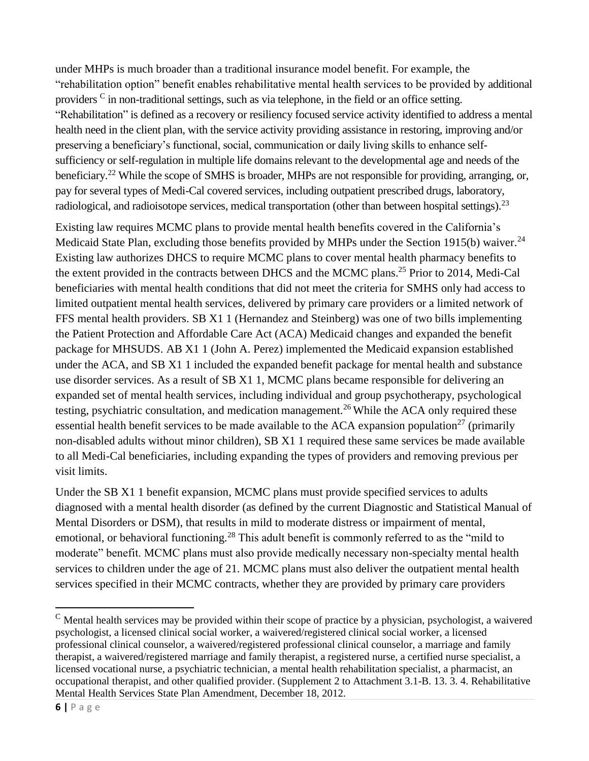under MHPs is much broader than a traditional insurance model benefit. For example, the "rehabilitation option" benefit enables rehabilitative mental health services to be provided by additional providers  $\frac{c}{n}$  in non-traditional settings, such as via telephone, in the field or an office setting. "Rehabilitation" is defined as a recovery or resiliency focused service activity identified to address a mental health need in the client plan, with the service activity providing assistance in restoring, improving and/or preserving a beneficiary's functional, social, communication or daily living skills to enhance selfsufficiency or self-regulation in multiple life domains relevant to the developmental age and needs of the beneficiary.<sup>22</sup> While the scope of SMHS is broader, MHPs are not responsible for providing, arranging, or, pay for several types of Medi-Cal covered services, including outpatient prescribed drugs, laboratory, radiological, and radioisotope services, medical transportation (other than between hospital settings).<sup>23</sup>

Existing law requires MCMC plans to provide mental health benefits covered in the California's Medicaid State Plan, excluding those benefits provided by MHPs under the Section 1915(b) waiver.<sup>24</sup> Existing law authorizes DHCS to require MCMC plans to cover mental health pharmacy benefits to the extent provided in the contracts between DHCS and the MCMC plans.<sup>25</sup> Prior to 2014, Medi-Cal beneficiaries with mental health conditions that did not meet the criteria for SMHS only had access to limited outpatient mental health services, delivered by primary care providers or a limited network of FFS mental health providers. SB X1 1 (Hernandez and Steinberg) was one of two bills implementing the Patient Protection and Affordable Care Act (ACA) Medicaid changes and expanded the benefit package for MHSUDS. AB X1 1 (John A. Perez) implemented the Medicaid expansion established under the ACA, and SB X1 1 included the expanded benefit package for mental health and substance use disorder services. As a result of SB X1 1, MCMC plans became responsible for delivering an expanded set of mental health services, including individual and group psychotherapy, psychological testing, psychiatric consultation, and medication management.<sup>26</sup> While the ACA only required these essential health benefit services to be made available to the ACA expansion population<sup>27</sup> (primarily non-disabled adults without minor children), SB X1 1 required these same services be made available to all Medi-Cal beneficiaries, including expanding the types of providers and removing previous per visit limits.

Under the SB X1 1 benefit expansion, MCMC plans must provide specified services to adults diagnosed with a mental health disorder (as defined by the current Diagnostic and Statistical Manual of Mental Disorders or DSM), that results in mild to moderate distress or impairment of mental, emotional, or behavioral functioning.<sup>28</sup> This adult benefit is commonly referred to as the "mild to moderate" benefit. MCMC plans must also provide medically necessary non-specialty mental health services to children under the age of 21. MCMC plans must also deliver the outpatient mental health services specified in their MCMC contracts, whether they are provided by primary care providers

 $\overline{a}$ 

 $<sup>c</sup>$  Mental health services may be provided within their scope of practice by a physician, psychologist, a waivered</sup> psychologist, a licensed clinical social worker, a waivered/registered clinical social worker, a licensed professional clinical counselor, a waivered/registered professional clinical counselor, a marriage and family therapist, a waivered/registered marriage and family therapist, a registered nurse, a certified nurse specialist, a licensed vocational nurse, a psychiatric technician, a mental health rehabilitation specialist, a pharmacist, an occupational therapist, and other qualified provider. (Supplement 2 to Attachment 3.1-B. 13. 3. 4. Rehabilitative Mental Health Services State Plan Amendment, December 18, 2012.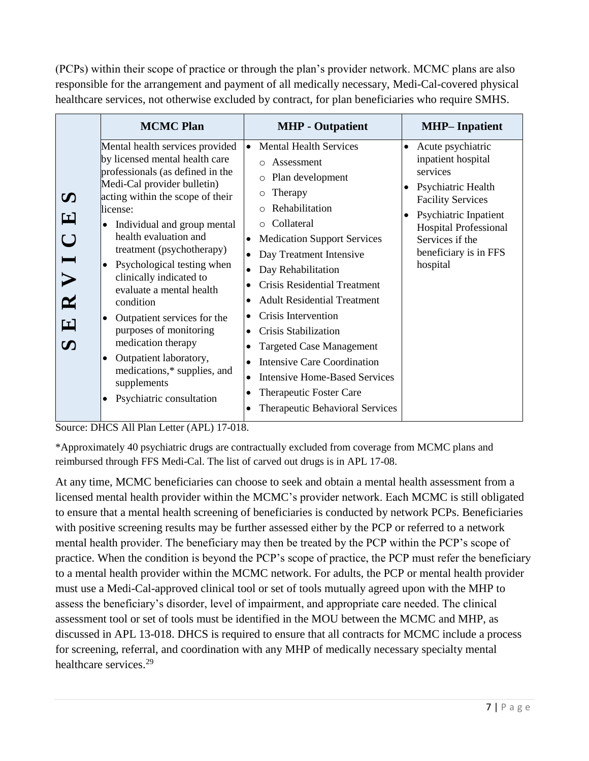(PCPs) within their scope of practice or through the plan's provider network. MCMC plans are also responsible for the arrangement and payment of all medically necessary, Medi-Cal-covered physical healthcare services, not otherwise excluded by contract, for plan beneficiaries who require SMHS.

|                                                                                                                   | <b>MCMC Plan</b>                                                                                                                                                                                                                                                                                                                                                                                                                                                                                                                                                            | <b>MHP</b> - Outpatient                                                                                                                                                                                                                                                                                                                                                                                                                                                                                                                                                                         | <b>MHP-Inpatient</b>                                                                                                                                                                                                                |
|-------------------------------------------------------------------------------------------------------------------|-----------------------------------------------------------------------------------------------------------------------------------------------------------------------------------------------------------------------------------------------------------------------------------------------------------------------------------------------------------------------------------------------------------------------------------------------------------------------------------------------------------------------------------------------------------------------------|-------------------------------------------------------------------------------------------------------------------------------------------------------------------------------------------------------------------------------------------------------------------------------------------------------------------------------------------------------------------------------------------------------------------------------------------------------------------------------------------------------------------------------------------------------------------------------------------------|-------------------------------------------------------------------------------------------------------------------------------------------------------------------------------------------------------------------------------------|
| $\boldsymbol{\mathcal{D}}$<br>뇌<br>$\bigcup$<br>$\blacksquare$<br>$\mathbf{z}$<br>E<br>$\boldsymbol{\mathcal{D}}$ | Mental health services provided<br>by licensed mental health care<br>professionals (as defined in the<br>Medi-Cal provider bulletin)<br>acting within the scope of their<br>license:<br>Individual and group mental<br>health evaluation and<br>treatment (psychotherapy)<br>Psychological testing when<br>clinically indicated to<br>evaluate a mental health<br>condition<br>Outpatient services for the<br>$\bullet$<br>purposes of monitoring<br>medication therapy<br>Outpatient laboratory,<br>medications,* supplies, and<br>supplements<br>Psychiatric consultation | <b>Mental Health Services</b><br>$\bullet$<br>Assessment<br>$\cap$<br>Plan development<br>$\circ$<br>Therapy<br>$\circ$<br>Rehabilitation<br>Collateral<br><b>Medication Support Services</b><br>$\bullet$<br>Day Treatment Intensive<br>Day Rehabilitation<br><b>Crisis Residential Treatment</b><br><b>Adult Residential Treatment</b><br>Crisis Intervention<br>٠<br><b>Crisis Stabilization</b><br><b>Targeted Case Management</b><br><b>Intensive Care Coordination</b><br><b>Intensive Home-Based Services</b><br>$\bullet$<br>Therapeutic Foster Care<br>Therapeutic Behavioral Services | Acute psychiatric<br>$\bullet$<br>inpatient hospital<br>services<br>Psychiatric Health<br><b>Facility Services</b><br>Psychiatric Inpatient<br><b>Hospital Professional</b><br>Services if the<br>beneficiary is in FFS<br>hospital |

Source: DHCS All Plan Letter (APL) 17-018.

\*Approximately 40 psychiatric drugs are contractually excluded from coverage from MCMC plans and reimbursed through FFS Medi-Cal. The list of carved out drugs is in APL 17-08.

At any time, MCMC beneficiaries can choose to seek and obtain a mental health assessment from a licensed mental health provider within the MCMC's provider network. Each MCMC is still obligated to ensure that a mental health screening of beneficiaries is conducted by network PCPs. Beneficiaries with positive screening results may be further assessed either by the PCP or referred to a network mental health provider. The beneficiary may then be treated by the PCP within the PCP's scope of practice. When the condition is beyond the PCP's scope of practice, the PCP must refer the beneficiary to a mental health provider within the MCMC network. For adults, the PCP or mental health provider must use a Medi-Cal-approved clinical tool or set of tools mutually agreed upon with the MHP to assess the beneficiary's disorder, level of impairment, and appropriate care needed. The clinical assessment tool or set of tools must be identified in the MOU between the MCMC and MHP, as discussed in APL 13-018. DHCS is required to ensure that all contracts for MCMC include a process for screening, referral, and coordination with any MHP of medically necessary specialty mental healthcare services.<sup>29</sup>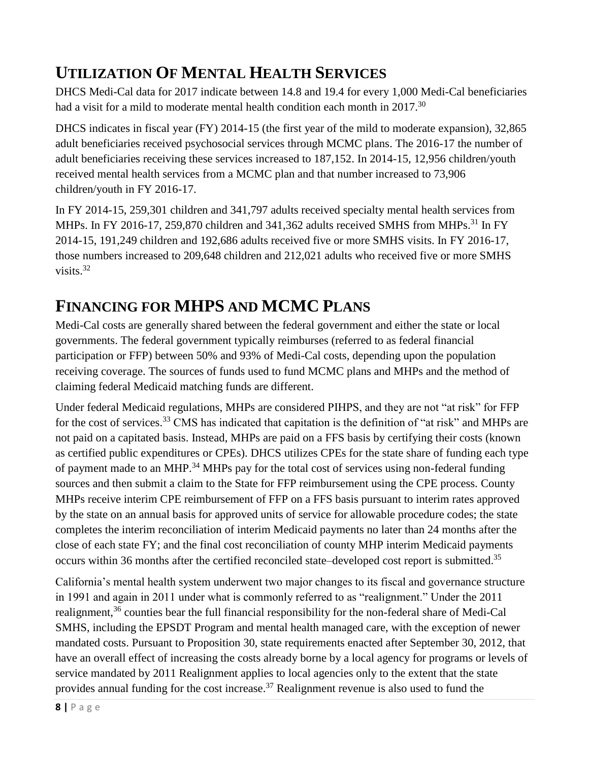## **UTILIZATION OF MENTAL HEALTH SERVICES**

DHCS Medi-Cal data for 2017 indicate between 14.8 and 19.4 for every 1,000 Medi-Cal beneficiaries had a visit for a mild to moderate mental health condition each month in 2017.<sup>30</sup>

DHCS indicates in fiscal year (FY) 2014-15 (the first year of the mild to moderate expansion), 32,865 adult beneficiaries received psychosocial services through MCMC plans. The 2016-17 the number of adult beneficiaries receiving these services increased to 187,152. In 2014-15, 12,956 children/youth received mental health services from a MCMC plan and that number increased to 73,906 children/youth in FY 2016-17.

In FY 2014-15, 259,301 children and 341,797 adults received specialty mental health services from MHPs. In FY 2016-17, 259,870 children and 341,362 adults received SMHS from MHPs.<sup>31</sup> In FY 2014-15, 191,249 children and 192,686 adults received five or more SMHS visits. In FY 2016-17, those numbers increased to 209,648 children and 212,021 adults who received five or more SMHS visits. 32

# **FINANCING FOR MHPS AND MCMC PLANS**

Medi-Cal costs are generally shared between the federal government and either the state or local governments. The federal government typically reimburses (referred to as federal financial participation or FFP) between 50% and 93% of Medi-Cal costs, depending upon the population receiving coverage. The sources of funds used to fund MCMC plans and MHPs and the method of claiming federal Medicaid matching funds are different.

Under federal Medicaid regulations, MHPs are considered PIHPS, and they are not "at risk" for FFP for the cost of services.<sup>33</sup> CMS has indicated that capitation is the definition of "at risk" and MHPs are not paid on a capitated basis. Instead, MHPs are paid on a FFS basis by certifying their costs (known as certified public expenditures or CPEs). DHCS utilizes CPEs for the state share of funding each type of payment made to an MHP.<sup>34</sup> MHPs pay for the total cost of services using non-federal funding sources and then submit a claim to the State for FFP reimbursement using the CPE process. County MHPs receive interim CPE reimbursement of FFP on a FFS basis pursuant to interim rates approved by the state on an annual basis for approved units of service for allowable procedure codes; the state completes the interim reconciliation of interim Medicaid payments no later than 24 months after the close of each state FY; and the final cost reconciliation of county MHP interim Medicaid payments occurs within 36 months after the certified reconciled state-developed cost report is submitted.<sup>35</sup>

California's mental health system underwent two major changes to its fiscal and governance structure in 1991 and again in 2011 under what is commonly referred to as "realignment." Under the 2011 realignment,<sup>36</sup> counties bear the full financial responsibility for the non-federal share of Medi-Cal SMHS, including the EPSDT Program and mental health managed care, with the exception of newer mandated costs. Pursuant to Proposition 30, state requirements enacted after September 30, 2012, that have an overall effect of increasing the costs already borne by a local agency for programs or levels of service mandated by 2011 Realignment applies to local agencies only to the extent that the state provides annual funding for the cost increase.<sup>37</sup> Realignment revenue is also used to fund the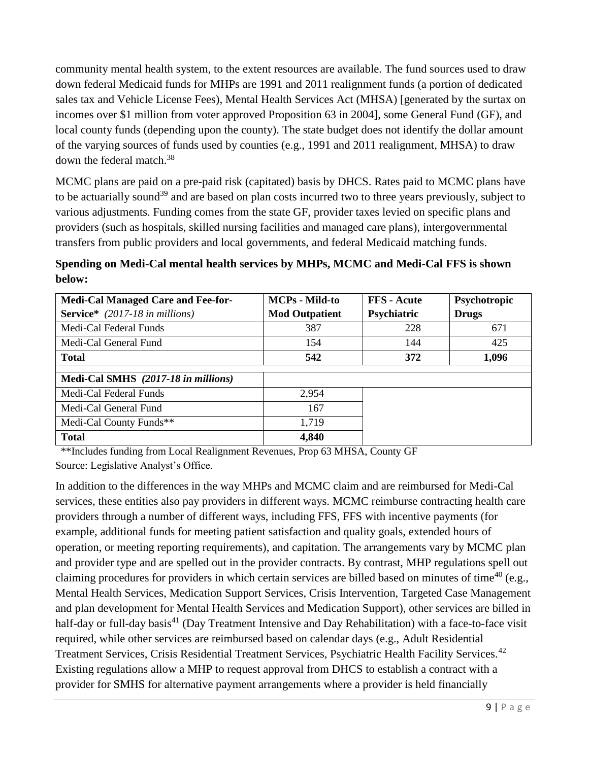community mental health system, to the extent resources are available. The fund sources used to draw down federal Medicaid funds for MHPs are 1991 and 2011 realignment funds (a portion of dedicated sales tax and Vehicle License Fees), Mental Health Services Act (MHSA) [generated by the surtax on incomes over \$1 million from voter approved Proposition 63 in 2004], some General Fund (GF), and local county funds (depending upon the county). The state budget does not identify the dollar amount of the varying sources of funds used by counties (e.g., 1991 and 2011 realignment, MHSA) to draw down the federal match. 38

MCMC plans are paid on a pre-paid risk (capitated) basis by DHCS. Rates paid to MCMC plans have to be actuarially sound<sup>39</sup> and are based on plan costs incurred two to three years previously, subject to various adjustments. Funding comes from the state GF, provider taxes levied on specific plans and providers (such as hospitals, skilled nursing facilities and managed care plans), intergovernmental transfers from public providers and local governments, and federal Medicaid matching funds.

**Spending on Medi-Cal mental health services by MHPs, MCMC and Medi-Cal FFS is shown below:**

| <b>Medi-Cal Managed Care and Fee-for-</b> | <b>MCPs - Mild-to</b> | <b>FFS</b> - Acute | Psychotropic |
|-------------------------------------------|-----------------------|--------------------|--------------|
| <b>Service*</b> (2017-18 in millions)     | <b>Mod Outpatient</b> | Psychiatric        | <b>Drugs</b> |
| Medi-Cal Federal Funds                    | 387                   | 228                | 671          |
| Medi-Cal General Fund                     | 154                   | 144                | 425          |
| <b>Total</b>                              | 542                   | 372                | 1,096        |
|                                           |                       |                    |              |
| Medi-Cal SMHS (2017-18 in millions)       |                       |                    |              |
| Medi-Cal Federal Funds                    | 2,954                 |                    |              |
| Medi-Cal General Fund                     | 167                   |                    |              |
| Medi-Cal County Funds**                   | 1,719                 |                    |              |
| <b>Total</b>                              | 4,840                 |                    |              |

\*\*Includes funding from Local Realignment Revenues, Prop 63 MHSA, County GF Source: Legislative Analyst's Office.

In addition to the differences in the way MHPs and MCMC claim and are reimbursed for Medi-Cal services, these entities also pay providers in different ways. MCMC reimburse contracting health care providers through a number of different ways, including FFS, FFS with incentive payments (for example, additional funds for meeting patient satisfaction and quality goals, extended hours of operation, or meeting reporting requirements), and capitation. The arrangements vary by MCMC plan and provider type and are spelled out in the provider contracts. By contrast, MHP regulations spell out claiming procedures for providers in which certain services are billed based on minutes of time<sup>40</sup> (e.g., Mental Health Services, Medication Support Services, Crisis Intervention, Targeted Case Management and plan development for Mental Health Services and Medication Support), other services are billed in half-day or full-day basis<sup>41</sup> (Day Treatment Intensive and Day Rehabilitation) with a face-to-face visit required, while other services are reimbursed based on calendar days (e.g., Adult Residential Treatment Services, Crisis Residential Treatment Services, Psychiatric Health Facility Services.<sup>42</sup> Existing regulations allow a MHP to request approval from DHCS to establish a contract with a provider for SMHS for alternative payment arrangements where a provider is held financially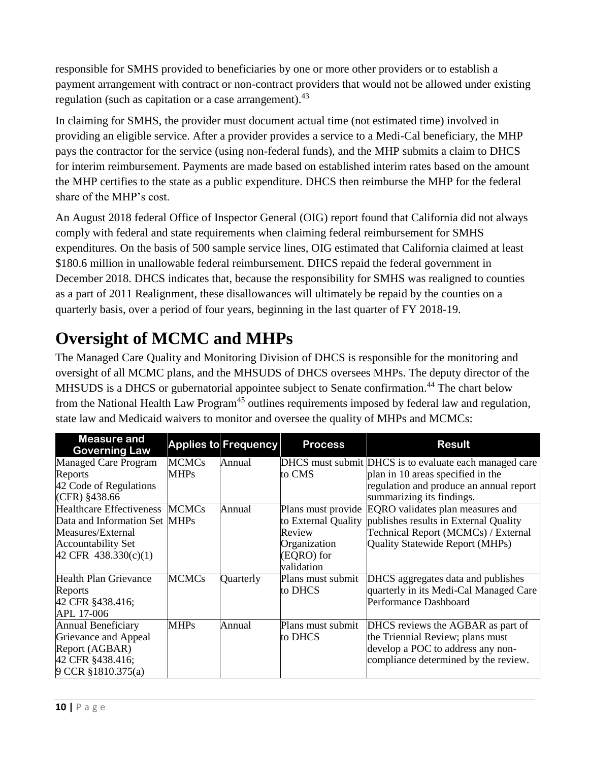responsible for SMHS provided to beneficiaries by one or more other providers or to establish a payment arrangement with contract or non-contract providers that would not be allowed under existing regulation (such as capitation or a case arrangement). $43$ 

In claiming for SMHS, the provider must document actual time (not estimated time) involved in providing an eligible service. After a provider provides a service to a Medi-Cal beneficiary, the MHP pays the contractor for the service (using non-federal funds), and the MHP submits a claim to DHCS for interim reimbursement. Payments are made based on established interim rates based on the amount the MHP certifies to the state as a public expenditure. DHCS then reimburse the MHP for the federal share of the MHP's cost.

An August 2018 federal Office of Inspector General (OIG) report found that California did not always comply with federal and state requirements when claiming federal reimbursement for SMHS expenditures. On the basis of 500 sample service lines, OIG estimated that California claimed at least \$180.6 million in unallowable federal reimbursement. DHCS repaid the federal government in December 2018. DHCS indicates that, because the responsibility for SMHS was realigned to counties as a part of 2011 Realignment, these disallowances will ultimately be repaid by the counties on a quarterly basis, over a period of four years, beginning in the last quarter of FY 2018-19.

# **Oversight of MCMC and MHPs**

The Managed Care Quality and Monitoring Division of DHCS is responsible for the monitoring and oversight of all MCMC plans, and the MHSUDS of DHCS oversees MHPs. The deputy director of the MHSUDS is a DHCS or gubernatorial appointee subject to Senate confirmation.<sup>44</sup> The chart below from the National Health Law Program<sup>45</sup> outlines requirements imposed by federal law and regulation, state law and Medicaid waivers to monitor and oversee the quality of MHPs and MCMCs:

| <b>Measure and</b><br><b>Governing Law</b> |              | <b>Applies to Frequency</b> | <b>Process</b>    | <b>Result</b>                                             |
|--------------------------------------------|--------------|-----------------------------|-------------------|-----------------------------------------------------------|
| Managed Care Program                       | <b>MCMCs</b> | Annual                      |                   | DHCS must submit DHCS is to evaluate each managed care    |
| Reports                                    | <b>MHPs</b>  |                             | to CMS            | plan in 10 areas specified in the                         |
| 42 Code of Regulations                     |              |                             |                   | regulation and produce an annual report                   |
| $(CFR)$ §438.66                            |              |                             |                   | summarizing its findings.                                 |
| Healthcare Effectiveness MCMCs             |              | Annual                      |                   | Plans must provide EQRO validates plan measures and       |
| Data and Information Set MHPs              |              |                             |                   | to External Quality publishes results in External Quality |
| Measures/External                          |              |                             | Review            | Technical Report (MCMCs) / External                       |
| <b>Accountability Set</b>                  |              |                             | Organization      | Quality Statewide Report (MHPs)                           |
| $42$ CFR 438.330(c)(1)                     |              |                             | (EQRO) for        |                                                           |
|                                            |              |                             | validation        |                                                           |
| <b>Health Plan Grievance</b>               | <b>MCMCs</b> | Quarterly                   | Plans must submit | DHCS aggregates data and publishes                        |
| Reports                                    |              |                             | to DHCS           | quarterly in its Medi-Cal Managed Care                    |
| 42 CFR §438.416;                           |              |                             |                   | Performance Dashboard                                     |
| APL 17-006                                 |              |                             |                   |                                                           |
| Annual Beneficiary                         | <b>MHPs</b>  | Annual                      | Plans must submit | DHCS reviews the AGBAR as part of                         |
| Grievance and Appeal                       |              |                             | to DHCS           | the Triennial Review; plans must                          |
| Report (AGBAR)                             |              |                             |                   | develop a POC to address any non-                         |
| 42 CFR §438.416;                           |              |                             |                   | compliance determined by the review.                      |
| 9 CCR §1810.375(a)                         |              |                             |                   |                                                           |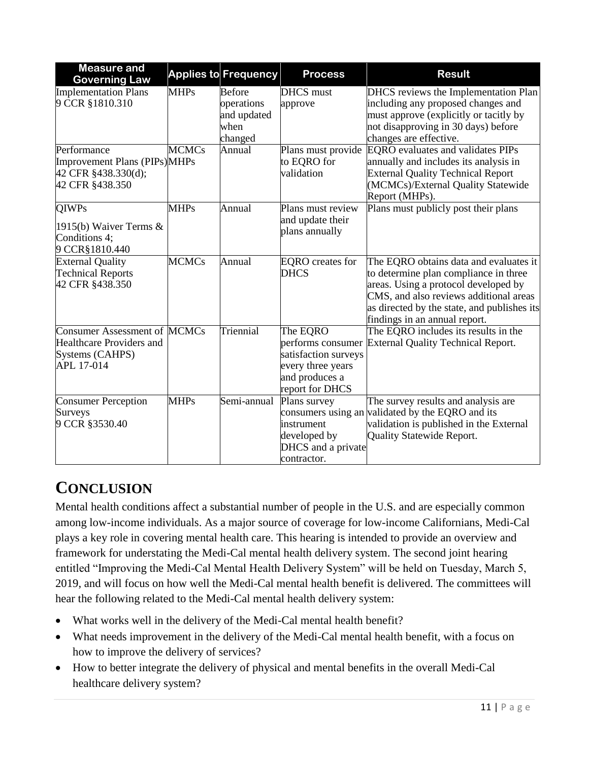| <b>Measure and</b><br><b>Governing Law</b>                                                              |              | <b>Applies to Frequency</b>                                   | <b>Process</b>                                                                             | <b>Result</b>                                                                                                                                                                                                                                     |
|---------------------------------------------------------------------------------------------------------|--------------|---------------------------------------------------------------|--------------------------------------------------------------------------------------------|---------------------------------------------------------------------------------------------------------------------------------------------------------------------------------------------------------------------------------------------------|
| <b>Implementation Plans</b><br>9 CCR §1810.310                                                          | <b>MHPs</b>  | <b>Before</b><br>operations<br>and updated<br>when<br>changed | <b>DHCS</b> must<br>approve                                                                | DHCS reviews the Implementation Plan<br>including any proposed changes and<br>must approve (explicitly or tacitly by<br>not disapproving in 30 days) before<br>changes are effective.                                                             |
| Performance<br>Improvement Plans (PIPs)MHPs<br>42 CFR §438.330(d);<br>42 CFR §438.350                   | <b>MCMCs</b> | Annual                                                        | to EQRO for<br>validation                                                                  | Plans must provide EQRO evaluates and validates PIPs<br>annually and includes its analysis in<br><b>External Quality Technical Report</b><br>(MCMCs)/External Quality Statewide<br>Report (MHPs).                                                 |
| <b>QIWPs</b><br>1915(b) Waiver Terms $\&$<br>Conditions 4;<br>9 CCR§1810.440                            | <b>MHPs</b>  | Annual                                                        | Plans must review<br>and update their<br>plans annually                                    | Plans must publicly post their plans                                                                                                                                                                                                              |
| <b>External Quality</b><br><b>Technical Reports</b><br>42 CFR §438.350                                  | <b>MCMCs</b> | Annual                                                        | <b>EQRO</b> creates for<br><b>DHCS</b>                                                     | The EQRO obtains data and evaluates it<br>to determine plan compliance in three<br>areas. Using a protocol developed by<br>CMS, and also reviews additional areas<br>as directed by the state, and publishes its<br>findings in an annual report. |
| <b>Consumer Assessment of MCMCs</b><br><b>Healthcare Providers and</b><br>Systems (CAHPS)<br>APL 17-014 |              | Triennial                                                     | The EQRO<br>satisfaction surveys<br>every three years<br>and produces a<br>report for DHCS | The EQRO includes its results in the<br>performs consumer External Quality Technical Report.                                                                                                                                                      |
| <b>Consumer Perception</b><br>Surveys<br>9 CCR §3530.40                                                 | <b>MHPs</b>  | Semi-annual                                                   | Plans survey<br>instrument<br>developed by<br>DHCS and a private<br>contractor.            | The survey results and analysis are<br>consumers using an validated by the EQRO and its<br>validation is published in the External<br>Quality Statewide Report.                                                                                   |

## **CONCLUSION**

Mental health conditions affect a substantial number of people in the U.S. and are especially common among low-income individuals. As a major source of coverage for low-income Californians, Medi-Cal plays a key role in covering mental health care. This hearing is intended to provide an overview and framework for understating the Medi-Cal mental health delivery system. The second joint hearing entitled "Improving the Medi-Cal Mental Health Delivery System" will be held on Tuesday, March 5, 2019, and will focus on how well the Medi-Cal mental health benefit is delivered. The committees will hear the following related to the Medi-Cal mental health delivery system:

- What works well in the delivery of the Medi-Cal mental health benefit?
- What needs improvement in the delivery of the Medi-Cal mental health benefit, with a focus on how to improve the delivery of services?
- How to better integrate the delivery of physical and mental benefits in the overall Medi-Cal healthcare delivery system?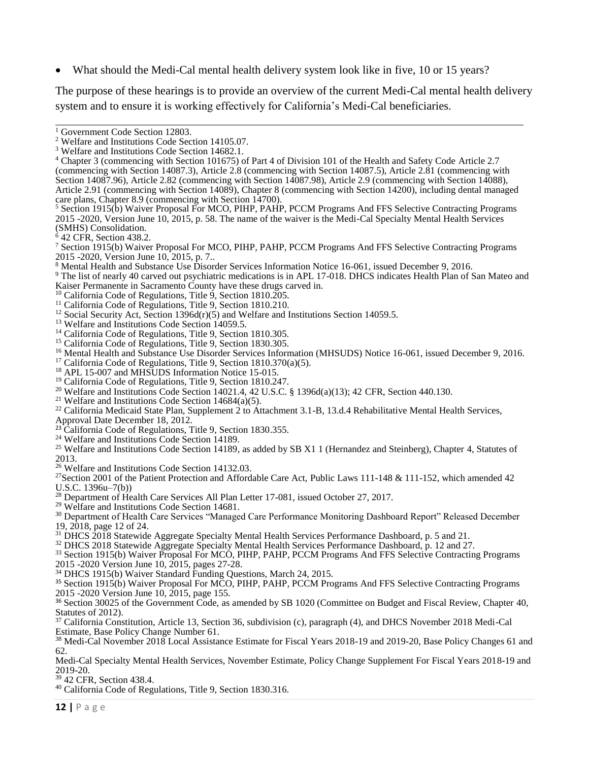What should the Medi-Cal mental health delivery system look like in five, 10 or 15 years?

The purpose of these hearings is to provide an overview of the current Medi-Cal mental health delivery system and to ensure it is working effectively for California's Medi-Cal beneficiaries.

<sup>5</sup> Section 1915(b) Waiver Proposal For MCO, PIHP, PAHP, PCCM Programs And FFS Selective Contracting Programs 2015 -2020, Version June 10, 2015, p. 58. The name of the waiver is the Medi-Cal Specialty Mental Health Services (SMHS) Consolidation.

 $642$  CFR, Section 438.2.

<sup>7</sup> Section 1915(b) Waiver Proposal For MCO, PIHP, PAHP, PCCM Programs And FFS Selective Contracting Programs 2015 -2020, Version June 10, 2015, p. 7..

<sup>8</sup> Mental Health and Substance Use Disorder Services Information Notice 16-061, issued December 9, 2016.

<sup>9</sup> The list of nearly 40 carved out psychiatric medications is in APL 17-018. DHCS indicates Health Plan of San Mateo and Kaiser Permanente in Sacramento County have these drugs carved in.

- <sup>10</sup> California Code of Regulations, Title  $\frac{9}{2}$ , Section 1810.205.
- <sup>11</sup> California Code of Regulations, Title 9, Section 1810.210.
- <sup>12</sup> Social Security Act, Section 1396d(r)(5) and Welfare and Institutions Section 14059.5.
- <sup>13</sup> Welfare and Institutions Code Section 14059.5.
- <sup>14</sup> California Code of Regulations, Title 9, Section 1810.305.

<sup>15</sup> California Code of Regulations, Title 9, Section 1830.305.

<sup>16</sup> Mental Health and Substance Use Disorder Services Information (MHSUDS) Notice 16-061, issued December 9, 2016.

<sup>17</sup> California Code of Regulations, Title 9, Section 1810.370(a)(5).

<sup>18</sup> APL 15-007 and MHSUDS Information Notice 15-015.

<sup>19</sup> California Code of Regulations, Title 9, Section 1810.247.

<sup>20</sup> Welfare and Institutions Code Section 14021.4, 42 U.S.C. § 1396d(a)(13); 42 CFR, Section 440.130.

<sup>21</sup> Welfare and Institutions Code Section  $14684(a)(5)$ .

 $^{22}$  California Medicaid State Plan, Supplement 2 to Attachment 3.1-B, 13.d.4 Rehabilitative Mental Health Services,

Approval Date December 18, 2012.

 $^{23}$ California Code of Regulations, Title 9, Section 1830.355.

<sup>24</sup> Welfare and Institutions Code Section 14189.

<sup>25</sup> Welfare and Institutions Code Section 14189, as added by SB X1 1 (Hernandez and Steinberg), Chapter 4, Statutes of 2013.

<sup>26</sup> Welfare and Institutions Code Section 14132.03.

<sup>27</sup>Section 2001 of the Patient Protection and Affordable Care Act, Public Laws 111-148 & 111-152, which amended 42 U.S.C. 1396u–7(b))

<sup>28</sup> Department of Health Care Services All Plan Letter 17-081, issued October 27, 2017.

<sup>29</sup> Welfare and Institutions Code Section 14681.

<sup>30</sup> Department of Health Care Services "Managed Care Performance Monitoring Dashboard Report" Released December 19, 2018, page 12 of 24.

<sup>31</sup> DHCS 2018 Statewide Aggregate Specialty Mental Health Services Performance Dashboard, p. 5 and 21.

<sup>32</sup> DHCS 2018 Statewide Aggregate Specialty Mental Health Services Performance Dashboard, p. 12 and 27.

<sup>33</sup> Section 1915(b) Waiver Proposal For MCO, PIHP, PAHP, PCCM Programs And FFS Selective Contracting Programs 2015 -2020 Version June 10, 2015, pages 27-28.

<sup>34</sup> DHCS 1915(b) Waiver Standard Funding Questions, March 24, 2015.

<sup>35</sup> Section 1915(b) Waiver Proposal For MCO, PIHP, PAHP, PCCM Programs And FFS Selective Contracting Programs 2015 -2020 Version June 10, 2015, page 155.

<sup>36</sup> Section 30025 of the Government Code, as amended by SB 1020 (Committee on Budget and Fiscal Review, Chapter 40, Statutes of 2012).

<sup>37</sup> California Constitution, Article 13, Section 36, subdivision (c), paragraph (4), and DHCS November 2018 Medi-Cal Estimate, Base Policy Change Number 61.

<sup>38</sup> Medi-Cal November 2018 Local Assistance Estimate for Fiscal Years 2018-19 and 2019-20, Base Policy Changes 61 and 62.

Medi-Cal Specialty Mental Health Services, November Estimate, Policy Change Supplement For Fiscal Years 2018-19 and 2019-20.

<sup>39</sup> 42 CFR, Section 438.4.

<sup>40</sup> California Code of Regulations, Title 9, Section 1830.316.

<sup>&</sup>lt;sup>1</sup> Government Code Section 12803.

<sup>2</sup> Welfare and Institutions Code Section 14105.07.

<sup>3</sup> Welfare and Institutions Code Section 14682.1.

<sup>4</sup> Chapter 3 (commencing with Section 101675) of Part 4 of Division 101 of the Health and Safety Code Article 2.7 (commencing with Section 14087.3), Article 2.8 (commencing with Section 14087.5), Article 2.81 (commencing with Section 14087.96), Article 2.82 (commencing with Section 14087.98), Article 2.9 (commencing with Section 14088), Article 2.91 (commencing with Section 14089), Chapter 8 (commencing with Section 14200), including dental managed care plans, Chapter 8.9 (commencing with Section 14700).